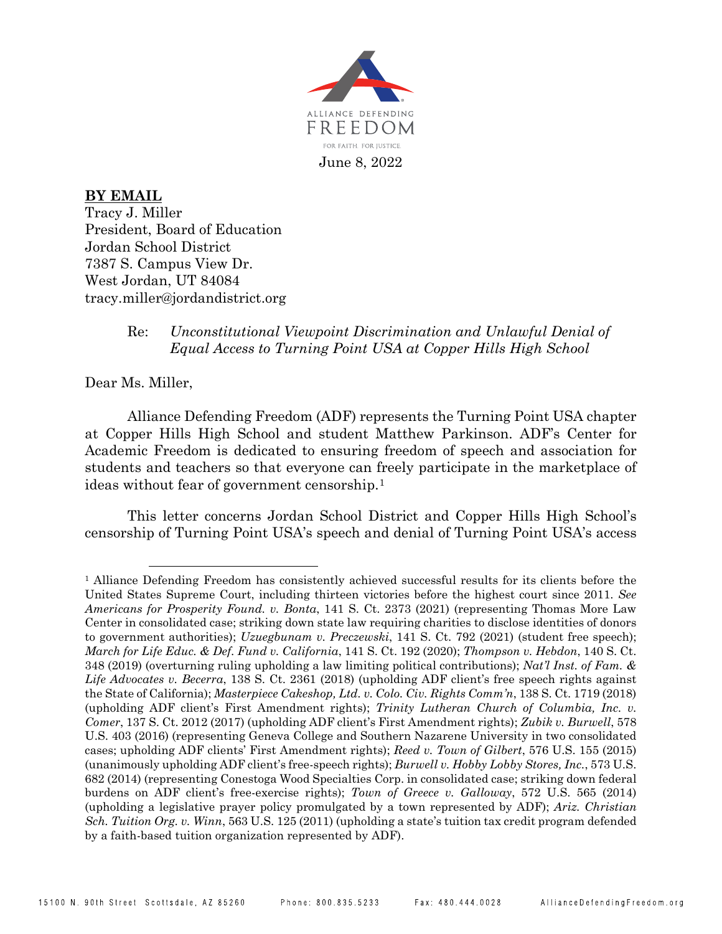

**BY EMAIL** Tracy J. Miller President, Board of Education Jordan School District 7387 S. Campus View Dr. West Jordan, UT 84084 tracy.miller@jordandistrict.org

## Re: *Unconstitutional Viewpoint Discrimination and Unlawful Denial of Equal Access to Turning Point USA at Copper Hills High School*

Dear Ms. Miller,

Alliance Defending Freedom (ADF) represents the Turning Point USA chapter at Copper Hills High School and student Matthew Parkinson. ADF's Center for Academic Freedom is dedicated to ensuring freedom of speech and association for students and teachers so that everyone can freely participate in the marketplace of ideas without fear of government censorship.[1](#page-0-0)

This letter concerns Jordan School District and Copper Hills High School's censorship of Turning Point USA's speech and denial of Turning Point USA's access

<span id="page-0-0"></span><sup>&</sup>lt;sup>1</sup> Alliance Defending Freedom has consistently achieved successful results for its clients before the United States Supreme Court, including thirteen victories before the highest court since 2011. *See Americans for Prosperity Found. v. Bonta*, 141 S. Ct. 2373 (2021) (representing Thomas More Law Center in consolidated case; striking down state law requiring charities to disclose identities of donors to government authorities); *Uzuegbunam v. Preczewski*, 141 S. Ct. 792 (2021) (student free speech); *March for Life Educ. & Def. Fund v. California*, 141 S. Ct. 192 (2020); *Thompson v. Hebdon*, 140 S. Ct. 348 (2019) (overturning ruling upholding a law limiting political contributions); *Nat'l Inst. of Fam. & Life Advocates v. Becerra*, 138 S. Ct. 2361 (2018) (upholding ADF client's free speech rights against the State of California); *Masterpiece Cakeshop, Ltd. v. Colo. Civ. Rights Comm'n*, 138 S. Ct. 1719 (2018) (upholding ADF client's First Amendment rights); *Trinity Lutheran Church of Columbia, Inc. v. Comer*, 137 S. Ct. 2012 (2017) (upholding ADF client's First Amendment rights); *Zubik v. Burwell*, 578 U.S. 403 (2016) (representing Geneva College and Southern Nazarene University in two consolidated cases; upholding ADF clients' First Amendment rights); *Reed v. Town of Gilbert*, 576 U.S. 155 (2015) (unanimously upholding ADF client's free-speech rights); *Burwell v. Hobby Lobby Stores, Inc.*, 573 U.S. 682 (2014) (representing Conestoga Wood Specialties Corp. in consolidated case; striking down federal burdens on ADF client's free-exercise rights); *Town of Greece v. Galloway*, 572 U.S. 565 (2014) (upholding a legislative prayer policy promulgated by a town represented by ADF); *Ariz. Christian Sch. Tuition Org. v. Winn*, 563 U.S. 125 (2011) (upholding a state's tuition tax credit program defended by a faith-based tuition organization represented by ADF).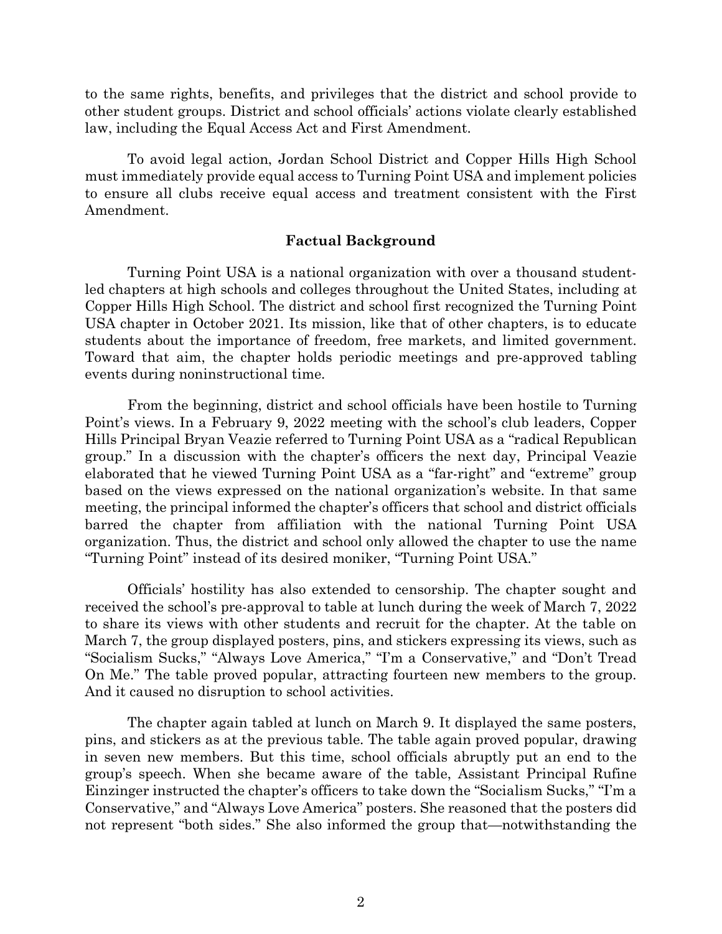to the same rights, benefits, and privileges that the district and school provide to other student groups. District and school officials' actions violate clearly established law, including the Equal Access Act and First Amendment.

To avoid legal action, Jordan School District and Copper Hills High School must immediately provide equal access to Turning Point USA and implement policies to ensure all clubs receive equal access and treatment consistent with the First Amendment.

## **Factual Background**

Turning Point USA is a national organization with over a thousand studentled chapters at high schools and colleges throughout the United States, including at Copper Hills High School. The district and school first recognized the Turning Point USA chapter in October 2021. Its mission, like that of other chapters, is to educate students about the importance of freedom, free markets, and limited government. Toward that aim, the chapter holds periodic meetings and pre-approved tabling events during noninstructional time.

From the beginning, district and school officials have been hostile to Turning Point's views. In a February 9, 2022 meeting with the school's club leaders, Copper Hills Principal Bryan Veazie referred to Turning Point USA as a "radical Republican group." In a discussion with the chapter's officers the next day, Principal Veazie elaborated that he viewed Turning Point USA as a "far-right" and "extreme" group based on the views expressed on the national organization's website. In that same meeting, the principal informed the chapter's officers that school and district officials barred the chapter from affiliation with the national Turning Point USA organization. Thus, the district and school only allowed the chapter to use the name "Turning Point" instead of its desired moniker, "Turning Point USA."

Officials' hostility has also extended to censorship. The chapter sought and received the school's pre-approval to table at lunch during the week of March 7, 2022 to share its views with other students and recruit for the chapter. At the table on March 7, the group displayed posters, pins, and stickers expressing its views, such as "Socialism Sucks," "Always Love America," "I'm a Conservative," and "Don't Tread On Me." The table proved popular, attracting fourteen new members to the group. And it caused no disruption to school activities.

The chapter again tabled at lunch on March 9. It displayed the same posters, pins, and stickers as at the previous table. The table again proved popular, drawing in seven new members. But this time, school officials abruptly put an end to the group's speech. When she became aware of the table, Assistant Principal Rufine Einzinger instructed the chapter's officers to take down the "Socialism Sucks," "I'm a Conservative," and "Always Love America" posters. She reasoned that the posters did not represent "both sides." She also informed the group that—notwithstanding the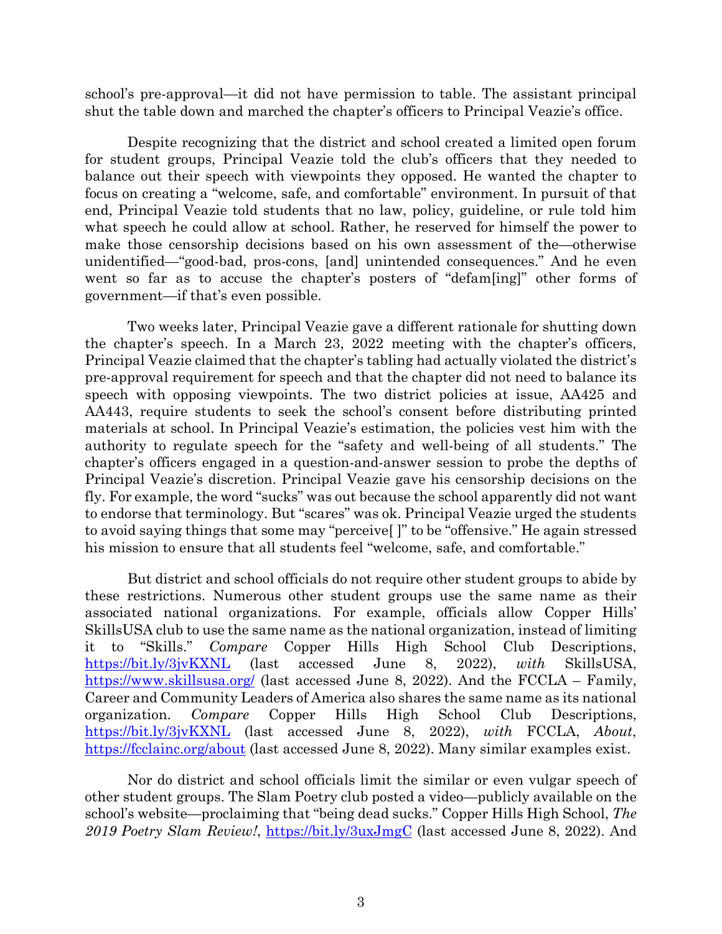school's pre-approval—it did not have permission to table. The assistant principal shut the table down and marched the chapter's officers to Principal Veazie's office.

Despite recognizing that the district and school created a limited open forum for student groups, Principal Veazie told the club's officers that they needed to balance out their speech with viewpoints they opposed. He wanted the chapter to focus on creating a "welcome, safe, and comfortable" environment. In pursuit of that end, Principal Veazie told students that no law, policy, guideline, or rule told him what speech he could allow at school. Rather, he reserved for himself the power to make those censorship decisions based on his own assessment of the—otherwise unidentified—"good-bad, pros-cons, [and] unintended consequences." And he even went so far as to accuse the chapter's posters of "defam[ing]" other forms of government—if that's even possible.

Two weeks later, Principal Veazie gave a different rationale for shutting down the chapter's speech. In a March 23, 2022 meeting with the chapter's officers, Principal Veazie claimed that the chapter's tabling had actually violated the district's pre-approval requirement for speech and that the chapter did not need to balance its speech with opposing viewpoints. The two district policies at issue, AA425 and AA443, require students to seek the school's consent before distributing printed materials at school. In Principal Veazie's estimation, the policies vest him with the authority to regulate speech for the "safety and well-being of all students." The chapter's officers engaged in a question-and-answer session to probe the depths of Principal Veazie's discretion. Principal Veazie gave his censorship decisions on the fly. For example, the word "sucks" was out because the school apparently did not want to endorse that terminology. But "scares" was ok. Principal Veazie urged the students to avoid saying things that some may "perceive[ ]" to be "offensive." He again stressed his mission to ensure that all students feel "welcome, safe, and comfortable."

But district and school officials do not require other student groups to abide by these restrictions. Numerous other student groups use the same name as their associated national organizations. For example, officials allow Copper Hills' SkillsUSA club to use the same name as the national organization, instead of limiting it to "Skills." *Compare* Copper Hills High School Club Descriptions, <https://bit.ly/3jvKXNL> (last accessed June 8, 2022), *with* SkillsUSA, <https://www.skillsusa.org/> (last accessed June 8, 2022). And the FCCLA – Family, Career and Community Leaders of America also shares the same name as its national organization. *Compare* Copper Hills High School Club Descriptions, <https://bit.ly/3jvKXNL> (last accessed June 8, 2022), *with* FCCLA, *About*, <https://fcclainc.org/about> (last accessed June 8, 2022). Many similar examples exist.

Nor do district and school officials limit the similar or even vulgar speech of other student groups. The Slam Poetry club posted a video—publicly available on the school's website—proclaiming that "being dead sucks." Copper Hills High School, *The 2019 Poetry Slam Review!*,<https://bit.ly/3uxJmgC> (last accessed June 8, 2022). And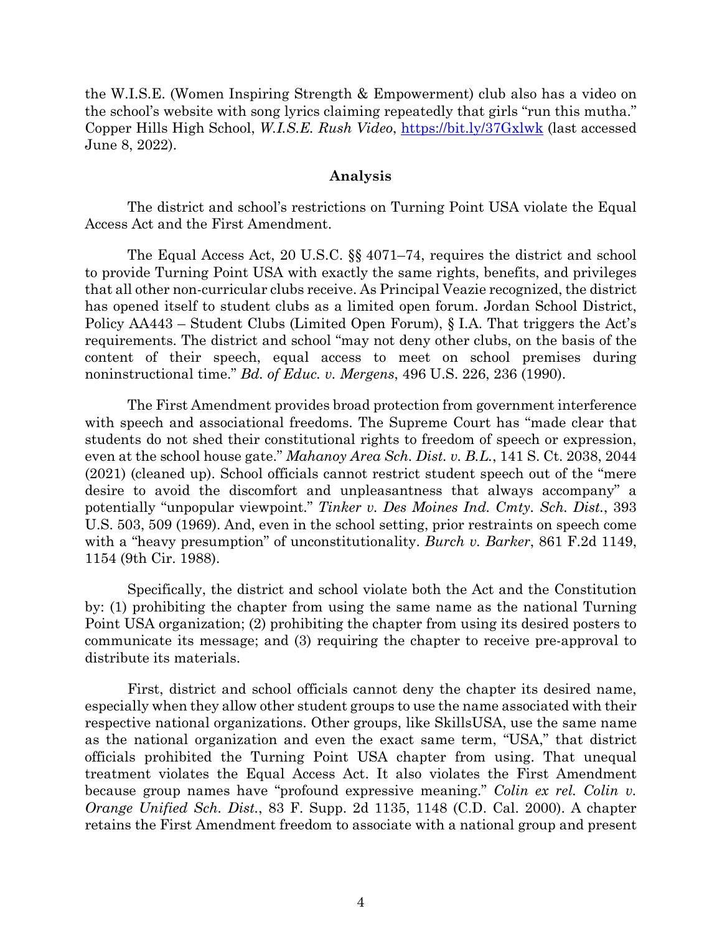the W.I.S.E. (Women Inspiring Strength & Empowerment) club also has a video on the school's website with song lyrics claiming repeatedly that girls "run this mutha." Copper Hills High School, *W.I.S.E. Rush Video*,<https://bit.ly/37Gxlwk> (last accessed June 8, 2022).

## **Analysis**

The district and school's restrictions on Turning Point USA violate the Equal Access Act and the First Amendment.

The Equal Access Act, 20 U.S.C. §§ 4071–74, requires the district and school to provide Turning Point USA with exactly the same rights, benefits, and privileges that all other non-curricular clubs receive. As Principal Veazie recognized, the district has opened itself to student clubs as a limited open forum. Jordan School District, Policy AA443 – Student Clubs (Limited Open Forum), § I.A. That triggers the Act's requirements. The district and school "may not deny other clubs, on the basis of the content of their speech, equal access to meet on school premises during noninstructional time." *Bd. of Educ. v. Mergens*, 496 U.S. 226, 236 (1990).

The First Amendment provides broad protection from government interference with speech and associational freedoms. The Supreme Court has "made clear that students do not shed their constitutional rights to freedom of speech or expression, even at the school house gate." *Mahanoy Area Sch. Dist. v. B.L.*, 141 S. Ct. 2038, 2044 (2021) (cleaned up). School officials cannot restrict student speech out of the "mere desire to avoid the discomfort and unpleasantness that always accompany" a potentially "unpopular viewpoint." *Tinker v. Des Moines Ind. Cmty. Sch. Dist.*, 393 U.S. 503, 509 (1969). And, even in the school setting, prior restraints on speech come with a "heavy presumption" of unconstitutionality. *Burch v. Barker*, 861 F.2d 1149, 1154 (9th Cir. 1988).

Specifically, the district and school violate both the Act and the Constitution by: (1) prohibiting the chapter from using the same name as the national Turning Point USA organization; (2) prohibiting the chapter from using its desired posters to communicate its message; and (3) requiring the chapter to receive pre-approval to distribute its materials.

First, district and school officials cannot deny the chapter its desired name, especially when they allow other student groups to use the name associated with their respective national organizations. Other groups, like SkillsUSA, use the same name as the national organization and even the exact same term, "USA," that district officials prohibited the Turning Point USA chapter from using. That unequal treatment violates the Equal Access Act. It also violates the First Amendment because group names have "profound expressive meaning." *Colin ex rel. Colin v. Orange Unified Sch. Dist.*, 83 F. Supp. 2d 1135, 1148 (C.D. Cal. 2000). A chapter retains the First Amendment freedom to associate with a national group and present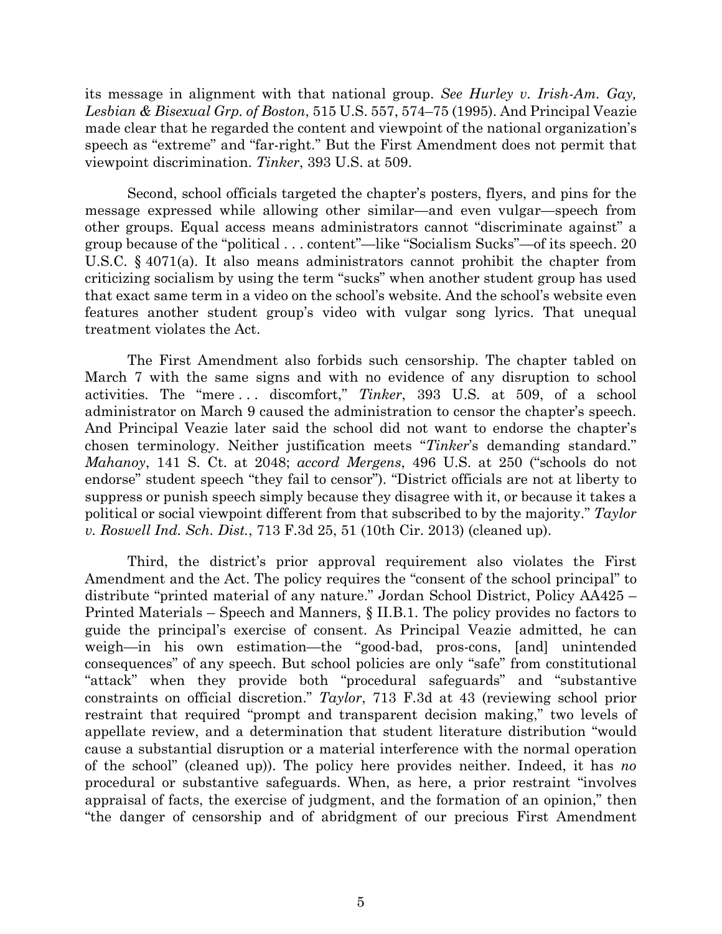its message in alignment with that national group. *See Hurley v. Irish-Am. Gay, Lesbian & Bisexual Grp. of Boston*, 515 U.S. 557, 574–75 (1995). And Principal Veazie made clear that he regarded the content and viewpoint of the national organization's speech as "extreme" and "far-right." But the First Amendment does not permit that viewpoint discrimination. *Tinker*, 393 U.S. at 509.

Second, school officials targeted the chapter's posters, flyers, and pins for the message expressed while allowing other similar—and even vulgar—speech from other groups. Equal access means administrators cannot "discriminate against" a group because of the "political . . . content"—like "Socialism Sucks"—of its speech. 20 U.S.C. § 4071(a). It also means administrators cannot prohibit the chapter from criticizing socialism by using the term "sucks" when another student group has used that exact same term in a video on the school's website. And the school's website even features another student group's video with vulgar song lyrics. That unequal treatment violates the Act.

The First Amendment also forbids such censorship. The chapter tabled on March 7 with the same signs and with no evidence of any disruption to school activities. The "mere . . . discomfort," *Tinker*, 393 U.S. at 509, of a school administrator on March 9 caused the administration to censor the chapter's speech. And Principal Veazie later said the school did not want to endorse the chapter's chosen terminology. Neither justification meets "*Tinker*'s demanding standard." *Mahanoy*, 141 S. Ct. at 2048; *accord Mergens*, 496 U.S. at 250 ("schools do not endorse" student speech "they fail to censor"). "District officials are not at liberty to suppress or punish speech simply because they disagree with it, or because it takes a political or social viewpoint different from that subscribed to by the majority." *Taylor v. Roswell Ind. Sch. Dist.*, 713 F.3d 25, 51 (10th Cir. 2013) (cleaned up).

Third, the district's prior approval requirement also violates the First Amendment and the Act. The policy requires the "consent of the school principal" to distribute "printed material of any nature." Jordan School District, Policy AA425 – Printed Materials – Speech and Manners, § II.B.1. The policy provides no factors to guide the principal's exercise of consent. As Principal Veazie admitted, he can weigh—in his own estimation—the "good-bad, pros-cons, [and] unintended consequences" of any speech. But school policies are only "safe" from constitutional "attack" when they provide both "procedural safeguards" and "substantive constraints on official discretion." *Taylor*, 713 F.3d at 43 (reviewing school prior restraint that required "prompt and transparent decision making," two levels of appellate review, and a determination that student literature distribution "would cause a substantial disruption or a material interference with the normal operation of the school" (cleaned up)). The policy here provides neither. Indeed, it has *no* procedural or substantive safeguards. When, as here, a prior restraint "involves appraisal of facts, the exercise of judgment, and the formation of an opinion," then "the danger of censorship and of abridgment of our precious First Amendment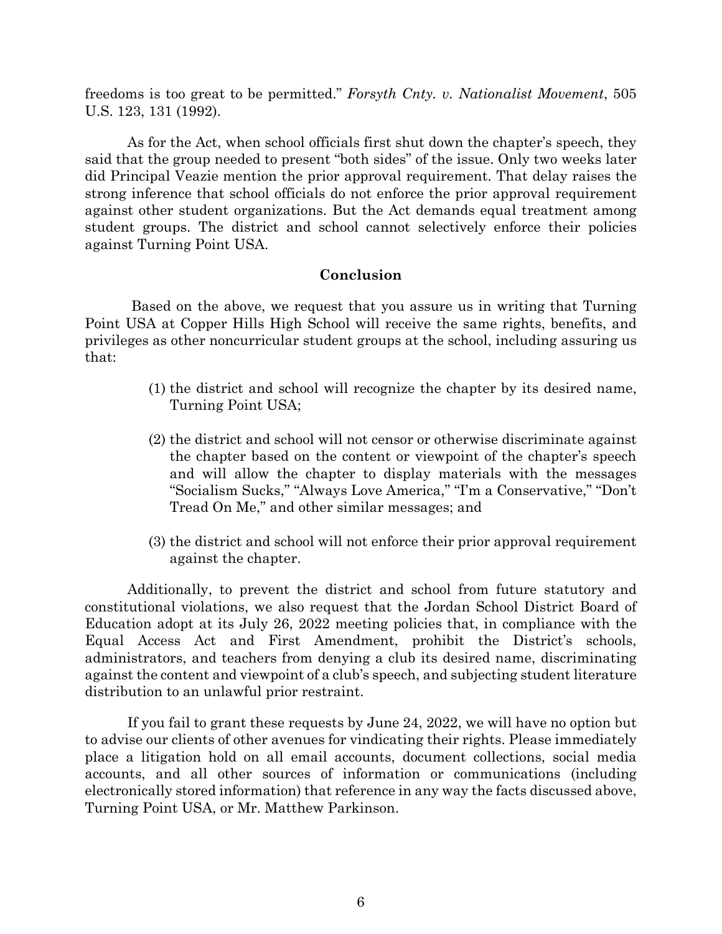freedoms is too great to be permitted." *Forsyth Cnty. v. Nationalist Movement*, 505 U.S. 123, 131 (1992).

As for the Act, when school officials first shut down the chapter's speech, they said that the group needed to present "both sides" of the issue. Only two weeks later did Principal Veazie mention the prior approval requirement. That delay raises the strong inference that school officials do not enforce the prior approval requirement against other student organizations. But the Act demands equal treatment among student groups. The district and school cannot selectively enforce their policies against Turning Point USA.

## **Conclusion**

Based on the above, we request that you assure us in writing that Turning Point USA at Copper Hills High School will receive the same rights, benefits, and privileges as other noncurricular student groups at the school, including assuring us that:

- (1) the district and school will recognize the chapter by its desired name, Turning Point USA;
- (2) the district and school will not censor or otherwise discriminate against the chapter based on the content or viewpoint of the chapter's speech and will allow the chapter to display materials with the messages "Socialism Sucks," "Always Love America," "I'm a Conservative," "Don't Tread On Me," and other similar messages; and
- (3) the district and school will not enforce their prior approval requirement against the chapter.

Additionally, to prevent the district and school from future statutory and constitutional violations, we also request that the Jordan School District Board of Education adopt at its July 26, 2022 meeting policies that, in compliance with the Equal Access Act and First Amendment, prohibit the District's schools, administrators, and teachers from denying a club its desired name, discriminating against the content and viewpoint of a club's speech, and subjecting student literature distribution to an unlawful prior restraint.

If you fail to grant these requests by June 24, 2022, we will have no option but to advise our clients of other avenues for vindicating their rights. Please immediately place a litigation hold on all email accounts, document collections, social media accounts, and all other sources of information or communications (including electronically stored information) that reference in any way the facts discussed above, Turning Point USA, or Mr. Matthew Parkinson.